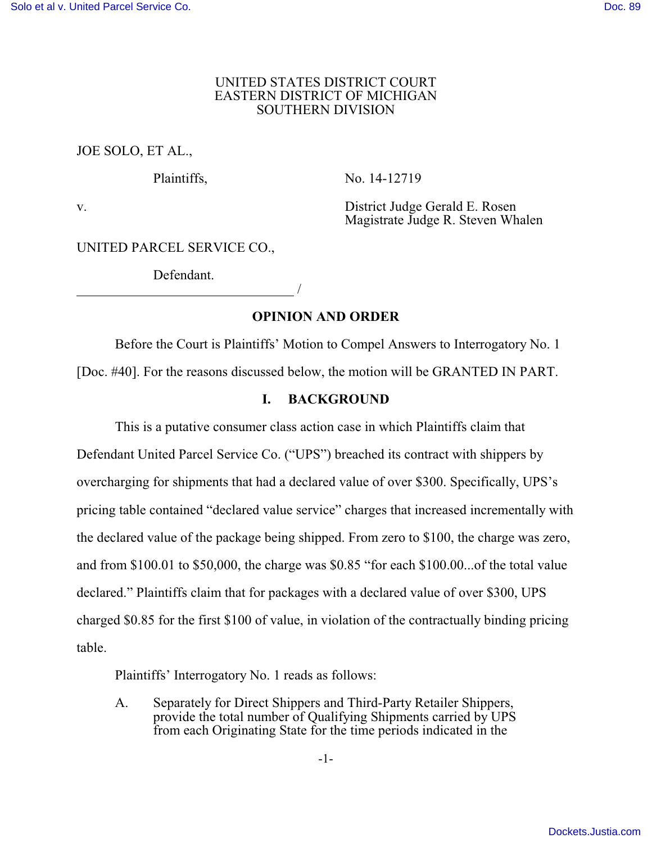#### UNITED STATES DISTRICT COURT EASTERN DISTRICT OF MICHIGAN SOUTHERN DIVISION

JOE SOLO, ET AL.,

Plaintiffs, No. 14-12719

v. District Judge Gerald E. Rosen Magistrate Judge R. Steven Whalen

UNITED PARCEL SERVICE CO.,

Defendant. /

**OPINION AND ORDER**

Before the Court is Plaintiffs' Motion to Compel Answers to Interrogatory No. 1 [Doc. #40]. For the reasons discussed below, the motion will be GRANTED IN PART.

## **I. BACKGROUND**

This is a putative consumer class action case in which Plaintiffs claim that Defendant United Parcel Service Co. ("UPS") breached its contract with shippers by overcharging for shipments that had a declared value of over \$300. Specifically, UPS's pricing table contained "declared value service" charges that increased incrementally with the declared value of the package being shipped. From zero to \$100, the charge was zero, and from \$100.01 to \$50,000, the charge was \$0.85 "for each \$100.00...of the total value declared." Plaintiffs claim that for packages with a declared value of over \$300, UPS charged \$0.85 for the first \$100 of value, in violation of the contractually binding pricing table.

Plaintiffs' Interrogatory No. 1 reads as follows:

A. Separately for Direct Shippers and Third-Party Retailer Shippers, provide the total number of Qualifying Shipments carried by UPS from each Originating State for the time periods indicated in the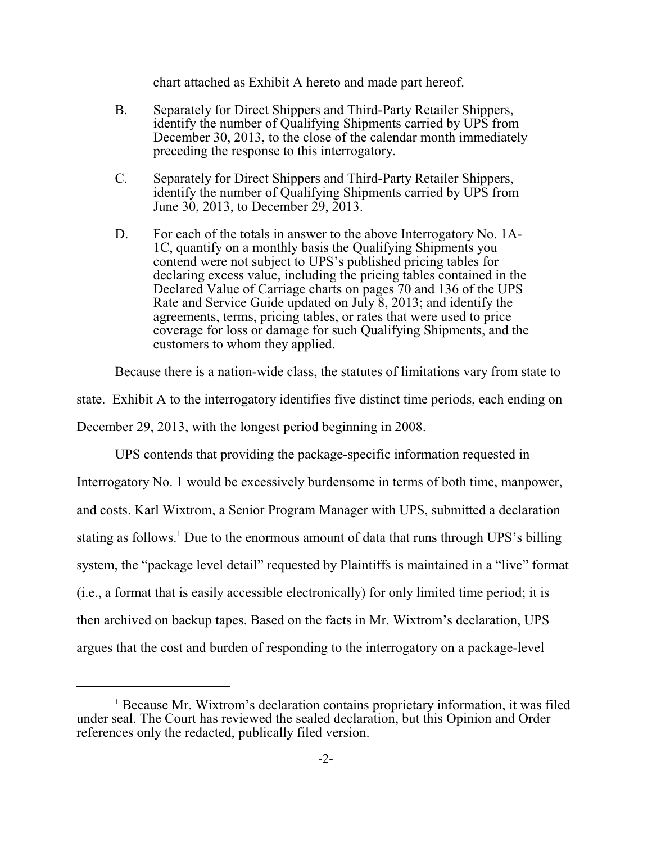chart attached as Exhibit A hereto and made part hereof.

- B. Separately for Direct Shippers and Third-Party Retailer Shippers, identify the number of Qualifying Shipments carried by UPS from December 30, 2013, to the close of the calendar month immediately preceding the response to this interrogatory.
- C. Separately for Direct Shippers and Third-Party Retailer Shippers, identify the number of Qualifying Shipments carried by UPS from June 30, 2013, to December 29, 2013.
- D. For each of the totals in answer to the above Interrogatory No. 1A-1C, quantify on a monthly basis the Qualifying Shipments you contend were not subject to UPS's published pricing tables for declaring excess value, including the pricing tables contained in the Declared Value of Carriage charts on pages 70 and 136 of the UPS Rate and Service Guide updated on July 8, 2013; and identify the agreements, terms, pricing tables, or rates that were used to price coverage for loss or damage for such Qualifying Shipments, and the customers to whom they applied.

Because there is a nation-wide class, the statutes of limitations vary from state to

state. Exhibit A to the interrogatory identifies five distinct time periods, each ending on

December 29, 2013, with the longest period beginning in 2008.

UPS contends that providing the package-specific information requested in Interrogatory No. 1 would be excessively burdensome in terms of both time, manpower, and costs. Karl Wixtrom, a Senior Program Manager with UPS, submitted a declaration stating as follows.<sup>1</sup> Due to the enormous amount of data that runs through UPS's billing system, the "package level detail" requested by Plaintiffs is maintained in a "live" format (i.e., a format that is easily accessible electronically) for only limited time period; it is then archived on backup tapes. Based on the facts in Mr. Wixtrom's declaration, UPS argues that the cost and burden of responding to the interrogatory on a package-level

<sup>&</sup>lt;sup>1</sup> Because Mr. Wixtrom's declaration contains proprietary information, it was filed under seal. The Court has reviewed the sealed declaration, but this Opinion and Order references only the redacted, publically filed version.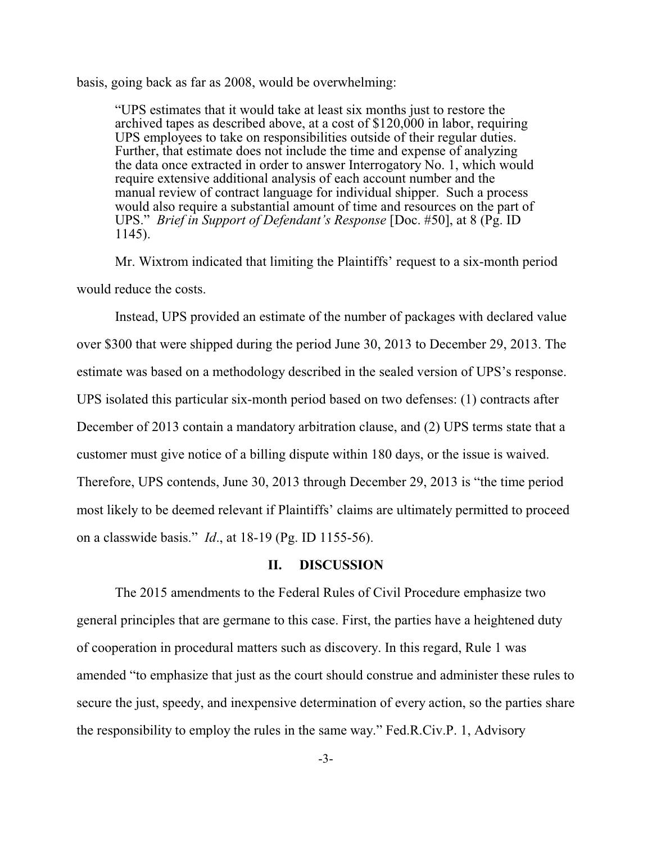basis, going back as far as 2008, would be overwhelming:

"UPS estimates that it would take at least six months just to restore the archived tapes as described above, at a cost of  $$120,000$  in labor, requiring UPS employees to take on responsibilities outside of their regular duties. Further, that estimate does not include the time and expense of analyzing the data once extracted in order to answer Interrogatory No. 1, which would require extensive additional analysis of each account number and the manual review of contract language for individual shipper. Such a process would also require a substantial amount of time and resources on the part of UPS." *Brief in Support of Defendant's Response* [Doc. #50], at 8 (Pg. ID 1145).

Mr. Wixtrom indicated that limiting the Plaintiffs' request to a six-month period would reduce the costs.

Instead, UPS provided an estimate of the number of packages with declared value over \$300 that were shipped during the period June 30, 2013 to December 29, 2013. The estimate was based on a methodology described in the sealed version of UPS's response. UPS isolated this particular six-month period based on two defenses: (1) contracts after December of 2013 contain a mandatory arbitration clause, and (2) UPS terms state that a customer must give notice of a billing dispute within 180 days, or the issue is waived. Therefore, UPS contends, June 30, 2013 through December 29, 2013 is "the time period most likely to be deemed relevant if Plaintiffs' claims are ultimately permitted to proceed on a classwide basis." *Id*., at 18-19 (Pg. ID 1155-56).

### **II. DISCUSSION**

The 2015 amendments to the Federal Rules of Civil Procedure emphasize two general principles that are germane to this case. First, the parties have a heightened duty of cooperation in procedural matters such as discovery. In this regard, Rule 1 was amended "to emphasize that just as the court should construe and administer these rules to secure the just, speedy, and inexpensive determination of every action, so the parties share the responsibility to employ the rules in the same way." Fed.R.Civ.P. 1, Advisory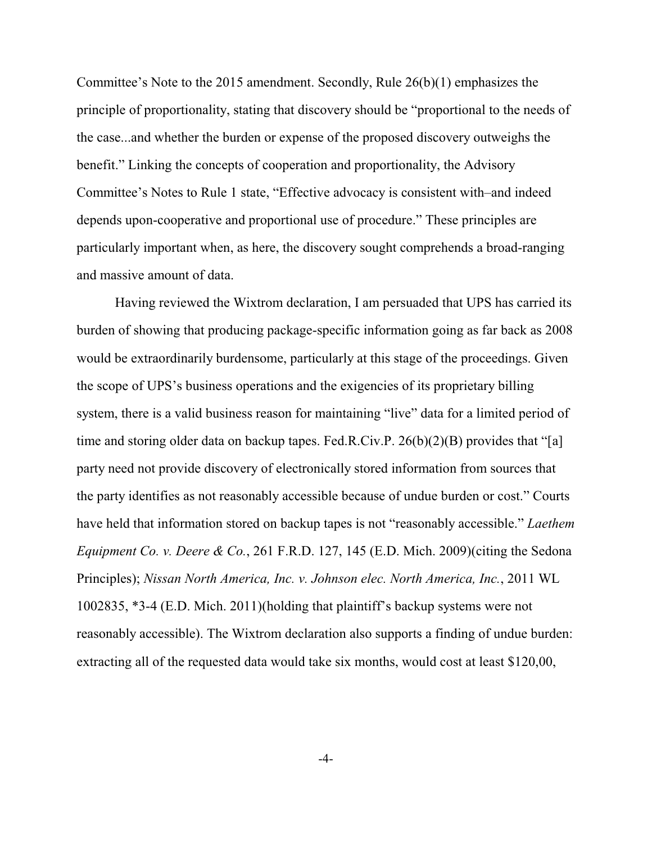Committee's Note to the 2015 amendment. Secondly, Rule 26(b)(1) emphasizes the principle of proportionality, stating that discovery should be "proportional to the needs of the case...and whether the burden or expense of the proposed discovery outweighs the benefit." Linking the concepts of cooperation and proportionality, the Advisory Committee's Notes to Rule 1 state, "Effective advocacy is consistent with–and indeed depends upon-cooperative and proportional use of procedure." These principles are particularly important when, as here, the discovery sought comprehends a broad-ranging and massive amount of data.

Having reviewed the Wixtrom declaration, I am persuaded that UPS has carried its burden of showing that producing package-specific information going as far back as 2008 would be extraordinarily burdensome, particularly at this stage of the proceedings. Given the scope of UPS's business operations and the exigencies of its proprietary billing system, there is a valid business reason for maintaining "live" data for a limited period of time and storing older data on backup tapes. Fed.R.Civ.P. 26(b)(2)(B) provides that "[a] party need not provide discovery of electronically stored information from sources that the party identifies as not reasonably accessible because of undue burden or cost." Courts have held that information stored on backup tapes is not "reasonably accessible." *Laethem Equipment Co. v. Deere & Co.*, 261 F.R.D. 127, 145 (E.D. Mich. 2009)(citing the Sedona Principles); *Nissan North America, Inc. v. Johnson elec. North America, Inc.*, 2011 WL 1002835, \*3-4 (E.D. Mich. 2011)(holding that plaintiff's backup systems were not reasonably accessible). The Wixtrom declaration also supports a finding of undue burden: extracting all of the requested data would take six months, would cost at least \$120,00,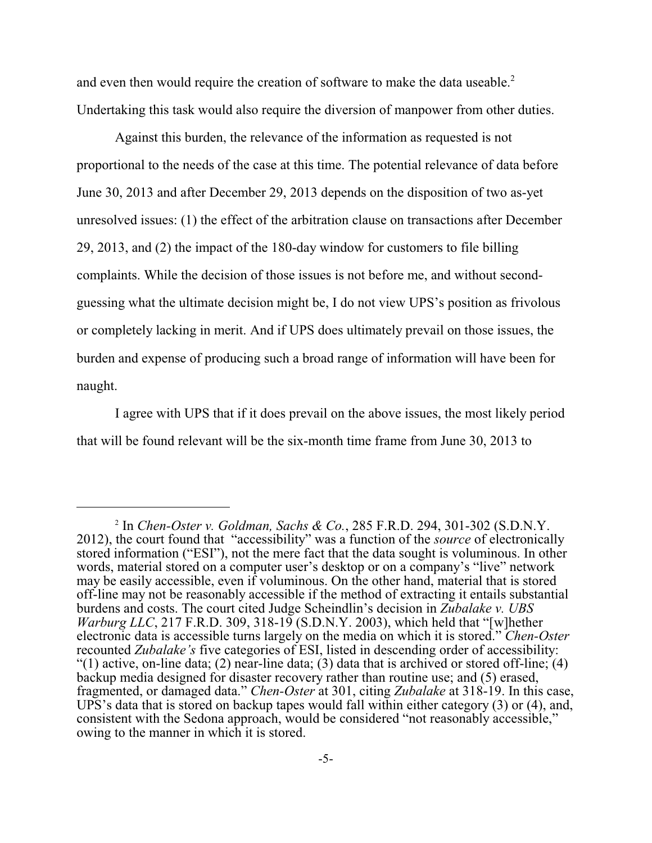and even then would require the creation of software to make the data useable.<sup>2</sup> Undertaking this task would also require the diversion of manpower from other duties.

Against this burden, the relevance of the information as requested is not proportional to the needs of the case at this time. The potential relevance of data before June 30, 2013 and after December 29, 2013 depends on the disposition of two as-yet unresolved issues: (1) the effect of the arbitration clause on transactions after December 29, 2013, and (2) the impact of the 180-day window for customers to file billing complaints. While the decision of those issues is not before me, and without secondguessing what the ultimate decision might be, I do not view UPS's position as frivolous or completely lacking in merit. And if UPS does ultimately prevail on those issues, the burden and expense of producing such a broad range of information will have been for naught.

I agree with UPS that if it does prevail on the above issues, the most likely period that will be found relevant will be the six-month time frame from June 30, 2013 to

<sup>2</sup> In *Chen-Oster v. Goldman, Sachs & Co.*, 285 F.R.D. 294, 301-302 (S.D.N.Y. 2012), the court found that "accessibility" was a function of the *source* of electronically stored information ("ESI"), not the mere fact that the data sought is voluminous. In other words, material stored on a computer user's desktop or on a company's "live" network may be easily accessible, even if voluminous. On the other hand, material that is stored off-line may not be reasonably accessible if the method of extracting it entails substantial burdens and costs. The court cited Judge Scheindlin's decision in *Zubalake v. UBS Warburg LLC*, 217 F.R.D. 309, 318-19 (S.D.N.Y. 2003), which held that "[w] hether electronic data is accessible turns largely on the media on which it is stored." *Chen-Oster* recounted *Zubalake's* five categories of ESI, listed in descending order of accessibility: "(1) active, on-line data; (2) near-line data; (3) data that is archived or stored off-line; (4) backup media designed for disaster recovery rather than routine use; and (5) erased, fragmented, or damaged data." *Chen-Oster* at 301, citing *Zubalake* at 318-19. In this case, UPS's data that is stored on backup tapes would fall within either category (3) or (4), and, consistent with the Sedona approach, would be considered "not reasonably accessible," owing to the manner in which it is stored.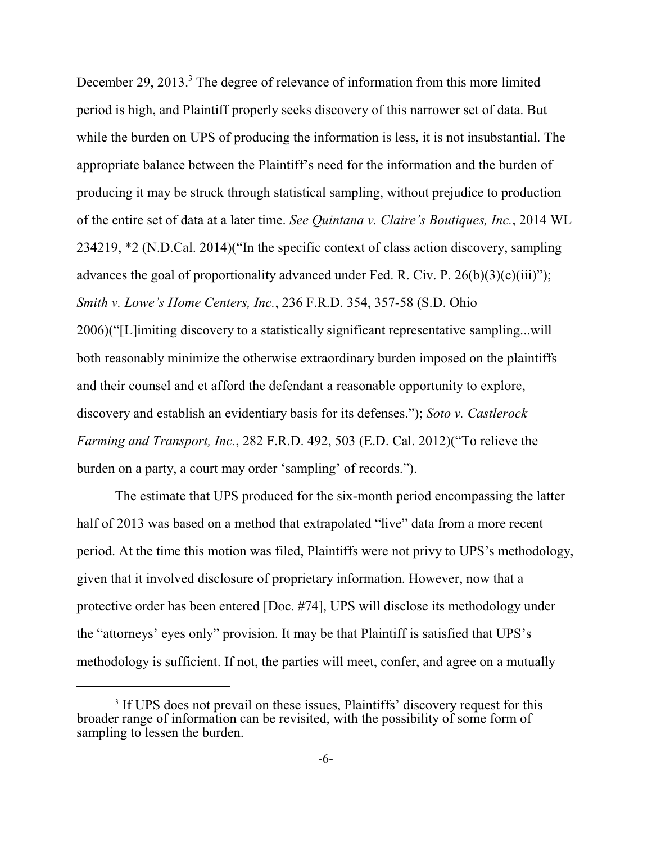December 29, 2013. $3$  The degree of relevance of information from this more limited period is high, and Plaintiff properly seeks discovery of this narrower set of data. But while the burden on UPS of producing the information is less, it is not insubstantial. The appropriate balance between the Plaintiff's need for the information and the burden of producing it may be struck through statistical sampling, without prejudice to production of the entire set of data at a later time. *See Quintana v. Claire's Boutiques, Inc.*, 2014 WL 234219, \*2 (N.D.Cal. 2014)("In the specific context of class action discovery, sampling advances the goal of proportionality advanced under Fed. R. Civ. P.  $26(b)(3)(c)(iii)$ "); *Smith v. Lowe's Home Centers, Inc.*, 236 F.R.D. 354, 357-58 (S.D. Ohio 2006)("[L]imiting discovery to a statistically significant representative sampling...will both reasonably minimize the otherwise extraordinary burden imposed on the plaintiffs and their counsel and et afford the defendant a reasonable opportunity to explore, discovery and establish an evidentiary basis for its defenses."); *Soto v. Castlerock Farming and Transport, Inc.*, 282 F.R.D. 492, 503 (E.D. Cal. 2012)("To relieve the

burden on a party, a court may order 'sampling' of records.").

The estimate that UPS produced for the six-month period encompassing the latter half of 2013 was based on a method that extrapolated "live" data from a more recent period. At the time this motion was filed, Plaintiffs were not privy to UPS's methodology, given that it involved disclosure of proprietary information. However, now that a protective order has been entered [Doc. #74], UPS will disclose its methodology under the "attorneys' eyes only" provision. It may be that Plaintiff is satisfied that UPS's methodology is sufficient. If not, the parties will meet, confer, and agree on a mutually

<sup>&</sup>lt;sup>3</sup> If UPS does not prevail on these issues, Plaintiffs' discovery request for this broader range of information can be revisited, with the possibility of some form of sampling to lessen the burden.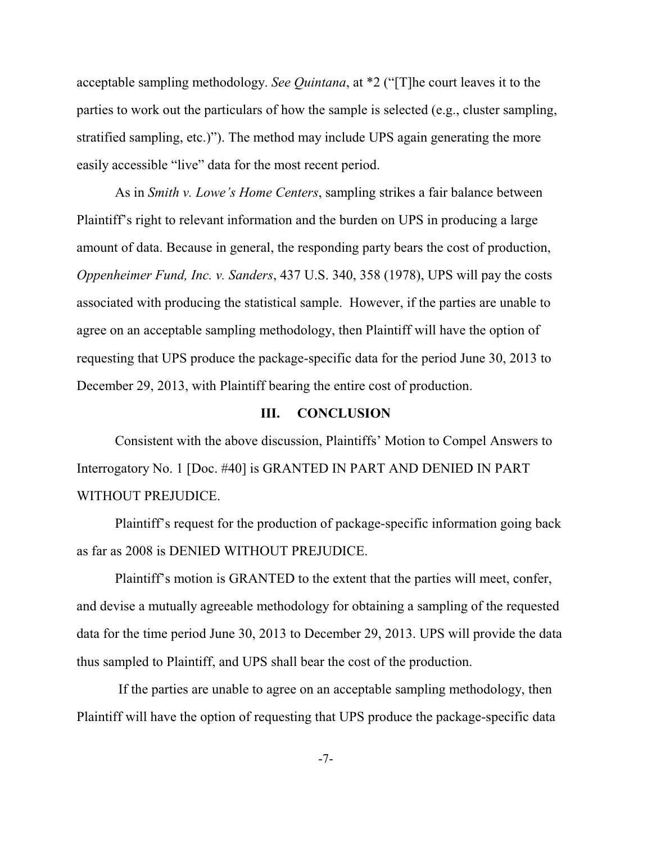acceptable sampling methodology. *See Quintana*, at \*2 ("[T]he court leaves it to the parties to work out the particulars of how the sample is selected (e.g., cluster sampling, stratified sampling, etc.)"). The method may include UPS again generating the more easily accessible "live" data for the most recent period.

As in *Smith v. Lowe's Home Centers*, sampling strikes a fair balance between Plaintiff's right to relevant information and the burden on UPS in producing a large amount of data. Because in general, the responding party bears the cost of production, *Oppenheimer Fund, Inc. v. Sanders*, 437 U.S. 340, 358 (1978), UPS will pay the costs associated with producing the statistical sample. However, if the parties are unable to agree on an acceptable sampling methodology, then Plaintiff will have the option of requesting that UPS produce the package-specific data for the period June 30, 2013 to December 29, 2013, with Plaintiff bearing the entire cost of production.

#### **III. CONCLUSION**

Consistent with the above discussion, Plaintiffs' Motion to Compel Answers to Interrogatory No. 1 [Doc. #40] is GRANTED IN PART AND DENIED IN PART WITHOUT PREJUDICE.

Plaintiff's request for the production of package-specific information going back as far as 2008 is DENIED WITHOUT PREJUDICE.

Plaintiff's motion is GRANTED to the extent that the parties will meet, confer, and devise a mutually agreeable methodology for obtaining a sampling of the requested data for the time period June 30, 2013 to December 29, 2013. UPS will provide the data thus sampled to Plaintiff, and UPS shall bear the cost of the production.

 If the parties are unable to agree on an acceptable sampling methodology, then Plaintiff will have the option of requesting that UPS produce the package-specific data